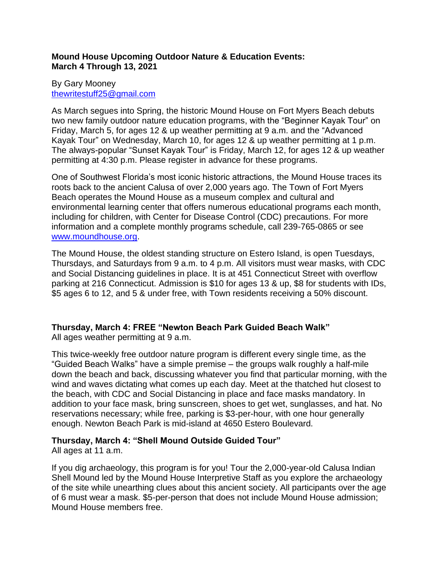## **Mound House Upcoming Outdoor Nature & Education Events: March 4 Through 13, 2021**

## By Gary Mooney [thewritestuff25@gmail.com](mailto:thewritestuff25@gmail.com)

As March segues into Spring, the historic Mound House on Fort Myers Beach debuts two new family outdoor nature education programs, with the "Beginner Kayak Tour" on Friday, March 5, for ages 12 & up weather permitting at 9 a.m. and the "Advanced Kayak Tour" on Wednesday, March 10, for ages 12 & up weather permitting at 1 p.m. The always-popular "Sunset Kayak Tour" is Friday, March 12, for ages 12 & up weather permitting at 4:30 p.m. Please register in advance for these programs.

One of Southwest Florida's most iconic historic attractions, the Mound House traces its roots back to the ancient Calusa of over 2,000 years ago. The Town of Fort Myers Beach operates the Mound House as a museum complex and cultural and environmental learning center that offers numerous educational programs each month, including for children, with Center for Disease Control (CDC) precautions. For more information and a complete monthly programs schedule, call 239-765-0865 or see [www.moundhouse.org.](http://www.moundhouse.org/)

The Mound House, the oldest standing structure on Estero Island, is open Tuesdays, Thursdays, and Saturdays from 9 a.m. to 4 p.m. All visitors must wear masks, with CDC and Social Distancing guidelines in place. It is at 451 Connecticut Street with overflow parking at 216 Connecticut. Admission is \$10 for ages 13 & up, \$8 for students with IDs, \$5 ages 6 to 12, and 5 & under free, with Town residents receiving a 50% discount.

# **Thursday, March 4: FREE "Newton Beach Park Guided Beach Walk"**

All ages weather permitting at 9 a.m.

This twice-weekly free outdoor nature program is different every single time, as the "Guided Beach Walks" have a simple premise – the groups walk roughly a half-mile down the beach and back, discussing whatever you find that particular morning, with the wind and waves dictating what comes up each day. Meet at the thatched hut closest to the beach, with CDC and Social Distancing in place and face masks mandatory. In addition to your face mask, bring sunscreen, shoes to get wet, sunglasses, and hat. No reservations necessary; while free, parking is \$3-per-hour, with one hour generally enough. Newton Beach Park is mid-island at 4650 Estero Boulevard.

## **Thursday, March 4: "Shell Mound Outside Guided Tour"**

All ages at 11 a.m.

If you dig archaeology, this program is for you! Tour the 2,000-year-old Calusa Indian Shell Mound led by the Mound House Interpretive Staff as you explore the archaeology of the site while unearthing clues about this ancient society. All participants over the age of 6 must wear a mask. \$5-per-person that does not include Mound House admission; Mound House members free.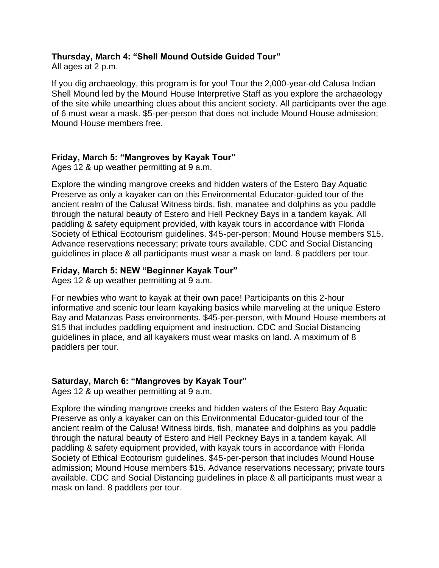# **Thursday, March 4: "Shell Mound Outside Guided Tour"**

All ages at 2 p.m.

If you dig archaeology, this program is for you! Tour the 2,000-year-old Calusa Indian Shell Mound led by the Mound House Interpretive Staff as you explore the archaeology of the site while unearthing clues about this ancient society. All participants over the age of 6 must wear a mask. \$5-per-person that does not include Mound House admission; Mound House members free.

## **Friday, March 5: "Mangroves by Kayak Tour"**

Ages 12 & up weather permitting at 9 a.m.

Explore the winding mangrove creeks and hidden waters of the Estero Bay Aquatic Preserve as only a kayaker can on this Environmental Educator-guided tour of the ancient realm of the Calusa! Witness birds, fish, manatee and dolphins as you paddle through the natural beauty of Estero and Hell Peckney Bays in a tandem kayak. All paddling & safety equipment provided, with kayak tours in accordance with Florida Society of Ethical Ecotourism guidelines. \$45-per-person; Mound House members \$15. Advance reservations necessary; private tours available. CDC and Social Distancing guidelines in place & all participants must wear a mask on land. 8 paddlers per tour.

## **Friday, March 5: NEW "Beginner Kayak Tour"**

Ages 12 & up weather permitting at 9 a.m.

For newbies who want to kayak at their own pace! Participants on this 2-hour informative and scenic tour learn kayaking basics while marveling at the unique Estero Bay and Matanzas Pass environments. \$45-per-person, with Mound House members at \$15 that includes paddling equipment and instruction. CDC and Social Distancing guidelines in place, and all kayakers must wear masks on land. A maximum of 8 paddlers per tour.

# **Saturday, March 6: "Mangroves by Kayak Tour"**

Ages 12 & up weather permitting at 9 a.m.

Explore the winding mangrove creeks and hidden waters of the Estero Bay Aquatic Preserve as only a kayaker can on this Environmental Educator-guided tour of the ancient realm of the Calusa! Witness birds, fish, manatee and dolphins as you paddle through the natural beauty of Estero and Hell Peckney Bays in a tandem kayak. All paddling & safety equipment provided, with kayak tours in accordance with Florida Society of Ethical Ecotourism guidelines. \$45-per-person that includes Mound House admission; Mound House members \$15. Advance reservations necessary; private tours available. CDC and Social Distancing guidelines in place & all participants must wear a mask on land. 8 paddlers per tour.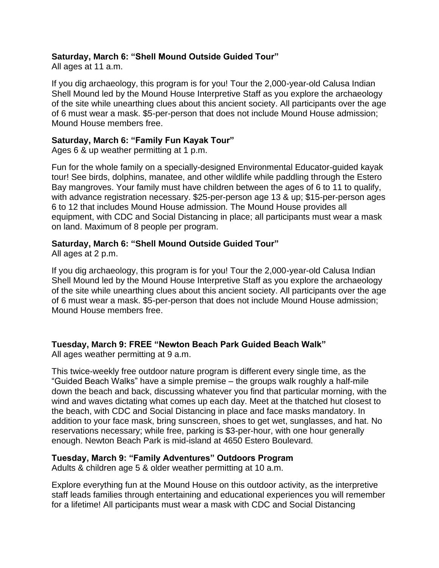# **Saturday, March 6: "Shell Mound Outside Guided Tour"**

All ages at 11 a.m.

If you dig archaeology, this program is for you! Tour the 2,000-year-old Calusa Indian Shell Mound led by the Mound House Interpretive Staff as you explore the archaeology of the site while unearthing clues about this ancient society. All participants over the age of 6 must wear a mask. \$5-per-person that does not include Mound House admission; Mound House members free.

#### **Saturday, March 6: "Family Fun Kayak Tour"**

Ages 6 & up weather permitting at 1 p.m.

Fun for the whole family on a specially-designed Environmental Educator-guided kayak tour! See birds, dolphins, manatee, and other wildlife while paddling through the Estero Bay mangroves. Your family must have children between the ages of 6 to 11 to qualify, with advance registration necessary. \$25-per-person age 13 & up; \$15-per-person ages 6 to 12 that includes Mound House admission. The Mound House provides all equipment, with CDC and Social Distancing in place; all participants must wear a mask on land. Maximum of 8 people per program.

## **Saturday, March 6: "Shell Mound Outside Guided Tour"**

All ages at 2 p.m.

If you dig archaeology, this program is for you! Tour the 2,000-year-old Calusa Indian Shell Mound led by the Mound House Interpretive Staff as you explore the archaeology of the site while unearthing clues about this ancient society. All participants over the age of 6 must wear a mask. \$5-per-person that does not include Mound House admission; Mound House members free.

# **Tuesday, March 9: FREE "Newton Beach Park Guided Beach Walk"**

All ages weather permitting at 9 a.m.

This twice-weekly free outdoor nature program is different every single time, as the "Guided Beach Walks" have a simple premise – the groups walk roughly a half-mile down the beach and back, discussing whatever you find that particular morning, with the wind and waves dictating what comes up each day. Meet at the thatched hut closest to the beach, with CDC and Social Distancing in place and face masks mandatory. In addition to your face mask, bring sunscreen, shoes to get wet, sunglasses, and hat. No reservations necessary; while free, parking is \$3-per-hour, with one hour generally enough. Newton Beach Park is mid-island at 4650 Estero Boulevard.

## **Tuesday, March 9: "Family Adventures" Outdoors Program**

Adults & children age 5 & older weather permitting at 10 a.m.

Explore everything fun at the Mound House on this outdoor activity, as the interpretive staff leads families through entertaining and educational experiences you will remember for a lifetime! All participants must wear a mask with CDC and Social Distancing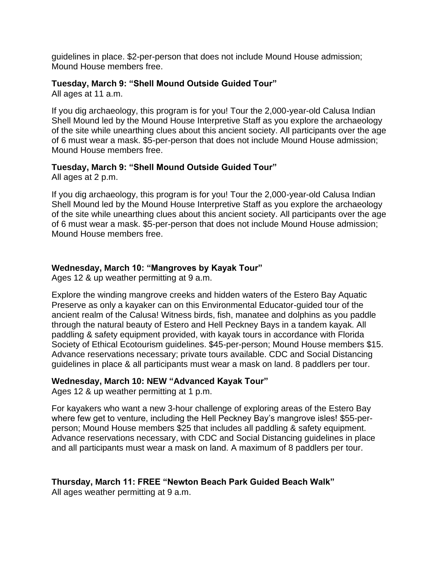guidelines in place. \$2-per-person that does not include Mound House admission; Mound House members free.

## **Tuesday, March 9: "Shell Mound Outside Guided Tour"**

All ages at 11 a.m.

If you dig archaeology, this program is for you! Tour the 2,000-year-old Calusa Indian Shell Mound led by the Mound House Interpretive Staff as you explore the archaeology of the site while unearthing clues about this ancient society. All participants over the age of 6 must wear a mask. \$5-per-person that does not include Mound House admission; Mound House members free.

## **Tuesday, March 9: "Shell Mound Outside Guided Tour"**

All ages at 2 p.m.

If you dig archaeology, this program is for you! Tour the 2,000-year-old Calusa Indian Shell Mound led by the Mound House Interpretive Staff as you explore the archaeology of the site while unearthing clues about this ancient society. All participants over the age of 6 must wear a mask. \$5-per-person that does not include Mound House admission; Mound House members free.

## **Wednesday, March 10: "Mangroves by Kayak Tour"**

Ages 12 & up weather permitting at 9 a.m.

Explore the winding mangrove creeks and hidden waters of the Estero Bay Aquatic Preserve as only a kayaker can on this Environmental Educator-guided tour of the ancient realm of the Calusa! Witness birds, fish, manatee and dolphins as you paddle through the natural beauty of Estero and Hell Peckney Bays in a tandem kayak. All paddling & safety equipment provided, with kayak tours in accordance with Florida Society of Ethical Ecotourism guidelines. \$45-per-person; Mound House members \$15. Advance reservations necessary; private tours available. CDC and Social Distancing guidelines in place & all participants must wear a mask on land. 8 paddlers per tour.

## **Wednesday, March 10: NEW "Advanced Kayak Tour"**

Ages 12 & up weather permitting at 1 p.m.

For kayakers who want a new 3-hour challenge of exploring areas of the Estero Bay where few get to venture, including the Hell Peckney Bay's mangrove isles! \$55-perperson; Mound House members \$25 that includes all paddling & safety equipment. Advance reservations necessary, with CDC and Social Distancing guidelines in place and all participants must wear a mask on land. A maximum of 8 paddlers per tour.

# **Thursday, March 11: FREE "Newton Beach Park Guided Beach Walk"**

All ages weather permitting at 9 a.m.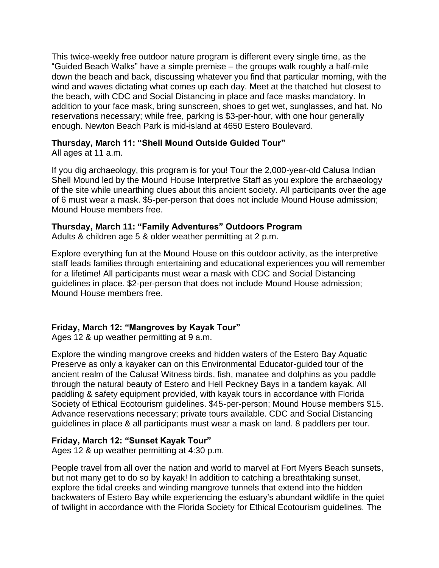This twice-weekly free outdoor nature program is different every single time, as the "Guided Beach Walks" have a simple premise – the groups walk roughly a half-mile down the beach and back, discussing whatever you find that particular morning, with the wind and waves dictating what comes up each day. Meet at the thatched hut closest to the beach, with CDC and Social Distancing in place and face masks mandatory. In addition to your face mask, bring sunscreen, shoes to get wet, sunglasses, and hat. No reservations necessary; while free, parking is \$3-per-hour, with one hour generally enough. Newton Beach Park is mid-island at 4650 Estero Boulevard.

#### **Thursday, March 11: "Shell Mound Outside Guided Tour"**

All ages at 11 a.m.

If you dig archaeology, this program is for you! Tour the 2,000-year-old Calusa Indian Shell Mound led by the Mound House Interpretive Staff as you explore the archaeology of the site while unearthing clues about this ancient society. All participants over the age of 6 must wear a mask. \$5-per-person that does not include Mound House admission; Mound House members free.

## **Thursday, March 11: "Family Adventures" Outdoors Program**

Adults & children age 5 & older weather permitting at 2 p.m.

Explore everything fun at the Mound House on this outdoor activity, as the interpretive staff leads families through entertaining and educational experiences you will remember for a lifetime! All participants must wear a mask with CDC and Social Distancing guidelines in place. \$2-per-person that does not include Mound House admission; Mound House members free.

# **Friday, March 12: "Mangroves by Kayak Tour"**

Ages 12 & up weather permitting at 9 a.m.

Explore the winding mangrove creeks and hidden waters of the Estero Bay Aquatic Preserve as only a kayaker can on this Environmental Educator-guided tour of the ancient realm of the Calusa! Witness birds, fish, manatee and dolphins as you paddle through the natural beauty of Estero and Hell Peckney Bays in a tandem kayak. All paddling & safety equipment provided, with kayak tours in accordance with Florida Society of Ethical Ecotourism guidelines. \$45-per-person; Mound House members \$15. Advance reservations necessary; private tours available. CDC and Social Distancing guidelines in place & all participants must wear a mask on land. 8 paddlers per tour.

## **Friday, March 12: "Sunset Kayak Tour"**

Ages 12 & up weather permitting at 4:30 p.m.

People travel from all over the nation and world to marvel at Fort Myers Beach sunsets, but not many get to do so by kayak! In addition to catching a breathtaking sunset, explore the tidal creeks and winding mangrove tunnels that extend into the hidden backwaters of Estero Bay while experiencing the estuary's abundant wildlife in the quiet of twilight in accordance with the Florida Society for Ethical Ecotourism guidelines. The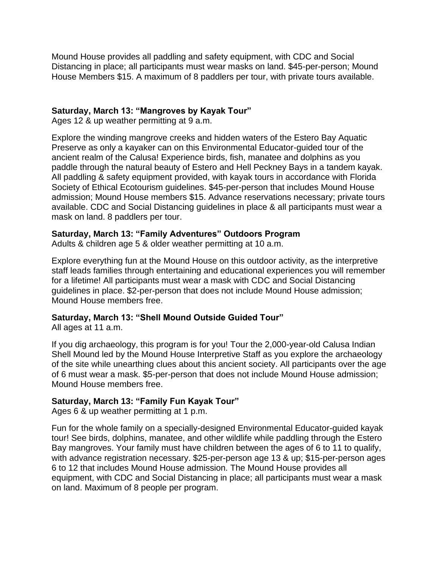Mound House provides all paddling and safety equipment, with CDC and Social Distancing in place; all participants must wear masks on land. \$45-per-person; Mound House Members \$15. A maximum of 8 paddlers per tour, with private tours available.

## **Saturday, March 13: "Mangroves by Kayak Tour"**

Ages 12 & up weather permitting at 9 a.m.

Explore the winding mangrove creeks and hidden waters of the Estero Bay Aquatic Preserve as only a kayaker can on this Environmental Educator-guided tour of the ancient realm of the Calusa! Experience birds, fish, manatee and dolphins as you paddle through the natural beauty of Estero and Hell Peckney Bays in a tandem kayak. All paddling & safety equipment provided, with kayak tours in accordance with Florida Society of Ethical Ecotourism guidelines. \$45-per-person that includes Mound House admission; Mound House members \$15. Advance reservations necessary; private tours available. CDC and Social Distancing guidelines in place & all participants must wear a mask on land. 8 paddlers per tour.

## **Saturday, March 13: "Family Adventures" Outdoors Program**

Adults & children age 5 & older weather permitting at 10 a.m.

Explore everything fun at the Mound House on this outdoor activity, as the interpretive staff leads families through entertaining and educational experiences you will remember for a lifetime! All participants must wear a mask with CDC and Social Distancing guidelines in place. \$2-per-person that does not include Mound House admission; Mound House members free.

# **Saturday, March 13: "Shell Mound Outside Guided Tour"**

All ages at 11 a.m.

If you dig archaeology, this program is for you! Tour the 2,000-year-old Calusa Indian Shell Mound led by the Mound House Interpretive Staff as you explore the archaeology of the site while unearthing clues about this ancient society. All participants over the age of 6 must wear a mask. \$5-per-person that does not include Mound House admission; Mound House members free.

# **Saturday, March 13: "Family Fun Kayak Tour"**

Ages 6 & up weather permitting at 1 p.m.

Fun for the whole family on a specially-designed Environmental Educator-guided kayak tour! See birds, dolphins, manatee, and other wildlife while paddling through the Estero Bay mangroves. Your family must have children between the ages of 6 to 11 to qualify, with advance registration necessary. \$25-per-person age 13 & up; \$15-per-person ages 6 to 12 that includes Mound House admission. The Mound House provides all equipment, with CDC and Social Distancing in place; all participants must wear a mask on land. Maximum of 8 people per program.